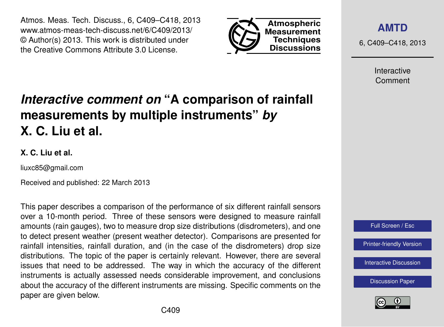Atmos. Meas. Tech. Discuss., 6, C409–C418, 2013 www.atmos-meas-tech-discuss.net/6/C409/2013/ © Author(s) 2013. This work is distributed under the Creative Commons Attribute 3.0 License.



**[AMTD](http://www.atmos-meas-tech-discuss.net)**

6, C409–C418, 2013

Interactive Comment

# *Interactive comment on* **"A comparison of rainfall measurements by multiple instruments"** *by* **X. C. Liu et al.**

### **X. C. Liu et al.**

liuxc85@gmail.com

Received and published: 22 March 2013

This paper describes a comparison of the performance of six different rainfall sensors over a 10-month period. Three of these sensors were designed to measure rainfall amounts (rain gauges), two to measure drop size distributions (disdrometers), and one to detect present weather (present weather detector). Comparisons are presented for rainfall intensities, rainfall duration, and (in the case of the disdrometers) drop size distributions. The topic of the paper is certainly relevant. However, there are several issues that need to be addressed. The way in which the accuracy of the different instruments is actually assessed needs considerable improvement, and conclusions about the accuracy of the different instruments are missing. Specific comments on the paper are given below.



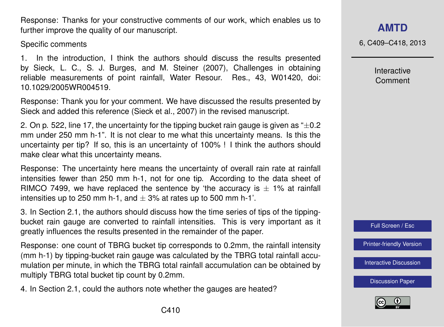C410

Response: Thanks for your constructive comments of our work, which enables us to further improve the quality of our manuscript.

Specific comments

1. In the introduction, I think the authors should discuss the results presented by Sieck, L. C., S. J. Burges, and M. Steiner (2007), Challenges in obtaining reliable measurements of point rainfall, Water Resour. Res., 43, W01420, doi: 10.1029/2005WR004519.

Response: Thank you for your comment. We have discussed the results presented by Sieck and added this reference (Sieck et al., 2007) in the revised manuscript.

2. On p. 522, line 17, the uncertainty for the tipping bucket rain gauge is given as  $+0.2$ mm under 250 mm h-1". It is not clear to me what this uncertainty means. Is this the uncertainty per tip? If so, this is an uncertainty of 100% ! I think the authors should make clear what this uncertainty means.

Response: The uncertainty here means the uncertainty of overall rain rate at rainfall intensities fewer than 250 mm h-1, not for one tip. According to the data sheet of RIMCO 7499, we have replaced the sentence by 'the accuracy is  $\pm$  1% at rainfall intensities up to 250 mm h-1, and  $\pm$  3% at rates up to 500 mm h-1'.

3. In Section 2.1, the authors should discuss how the time series of tips of the tippingbucket rain gauge are converted to rainfall intensities. This is very important as it greatly influences the results presented in the remainder of the paper.

Response: one count of TBRG bucket tip corresponds to 0.2mm, the rainfall intensity (mm h-1) by tipping-bucket rain gauge was calculated by the TBRG total rainfall accumulation per minute, in which the TBRG total rainfall accumulation can be obtained by multiply TBRG total bucket tip count by 0.2mm.

4. In Section 2.1, could the authors note whether the gauges are heated?

## **[AMTD](http://www.atmos-meas-tech-discuss.net)**

6, C409–C418, 2013

Interactive Comment



[Printer-friendly Version](http://www.atmos-meas-tech-discuss.net/6/C409/2013/amtd-6-C409-2013-print.pdf)

[Interactive Discussion](http://www.atmos-meas-tech-discuss.net/6/519/2013/amtd-6-519-2013-discussion.html)

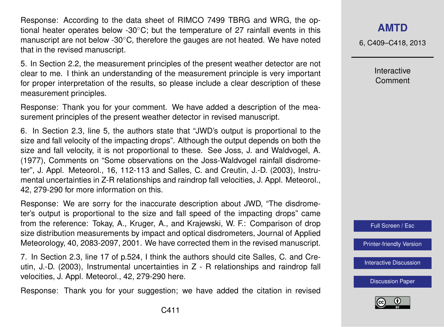Response: According to the data sheet of RIMCO 7499 TBRG and WRG, the optional heater operates below -30◦C; but the temperature of 27 rainfall events in this manuscript are not below -30◦C, therefore the gauges are not heated. We have noted that in the revised manuscript.

5. In Section 2.2, the measurement principles of the present weather detector are not clear to me. I think an understanding of the measurement principle is very important for proper interpretation of the results, so please include a clear description of these measurement principles.

Response: Thank you for your comment. We have added a description of the measurement principles of the present weather detector in revised manuscript.

6. In Section 2.3, line 5, the authors state that "JWD's output is proportional to the size and fall velocity of the impacting drops". Although the output depends on both the size and fall velocity, it is not proportional to these. See Joss, J. and Waldvogel, A. (1977), Comments on "Some observations on the Joss-Waldvogel rainfall disdrometer", J. Appl. Meteorol., 16, 112-113 and Salles, C. and Creutin, J.-D. (2003), Instrumental uncertainties in Z-R relationships and raindrop fall velocities, J. Appl. Meteorol., 42, 279-290 for more information on this.

Response: We are sorry for the inaccurate description about JWD, "The disdrometer's output is proportional to the size and fall speed of the impacting drops" came from the reference: Tokay, A., Kruger, A., and Krajewski, W. F.: Comparison of drop size distribution measurements by impact and optical disdrometers, Journal of Applied Meteorology, 40, 2083-2097, 2001. We have corrected them in the revised manuscript.

7. In Section 2.3, line 17 of p.524, I think the authors should cite Salles, C. and Creutin, J.-D. (2003), Instrumental uncertainties in Z - R relationships and raindrop fall velocities, J. Appl. Meteorol., 42, 279-290 here.

Response: Thank you for your suggestion; we have added the citation in revised

6, C409–C418, 2013

Interactive Comment



[Printer-friendly Version](http://www.atmos-meas-tech-discuss.net/6/C409/2013/amtd-6-C409-2013-print.pdf)

[Interactive Discussion](http://www.atmos-meas-tech-discuss.net/6/519/2013/amtd-6-519-2013-discussion.html)

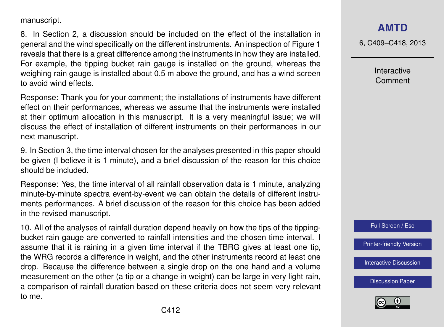manuscript.

8. In Section 2, a discussion should be included on the effect of the installation in general and the wind specifically on the different instruments. An inspection of Figure 1 reveals that there is a great difference among the instruments in how they are installed. For example, the tipping bucket rain gauge is installed on the ground, whereas the weighing rain gauge is installed about 0.5 m above the ground, and has a wind screen to avoid wind effects.

Response: Thank you for your comment; the installations of instruments have different effect on their performances, whereas we assume that the instruments were installed at their optimum allocation in this manuscript. It is a very meaningful issue; we will discuss the effect of installation of different instruments on their performances in our next manuscript.

9. In Section 3, the time interval chosen for the analyses presented in this paper should be given (I believe it is 1 minute), and a brief discussion of the reason for this choice should be included.

Response: Yes, the time interval of all rainfall observation data is 1 minute, analyzing minute-by-minute spectra event-by-event we can obtain the details of different instruments performances. A brief discussion of the reason for this choice has been added in the revised manuscript.

10. All of the analyses of rainfall duration depend heavily on how the tips of the tippingbucket rain gauge are converted to rainfall intensities and the chosen time interval. I assume that it is raining in a given time interval if the TBRG gives at least one tip, the WRG records a difference in weight, and the other instruments record at least one drop. Because the difference between a single drop on the one hand and a volume measurement on the other (a tip or a change in weight) can be large in very light rain, a comparison of rainfall duration based on these criteria does not seem very relevant to me.

## **[AMTD](http://www.atmos-meas-tech-discuss.net)**

6, C409–C418, 2013

Interactive Comment



[Printer-friendly Version](http://www.atmos-meas-tech-discuss.net/6/C409/2013/amtd-6-C409-2013-print.pdf)

[Interactive Discussion](http://www.atmos-meas-tech-discuss.net/6/519/2013/amtd-6-519-2013-discussion.html)

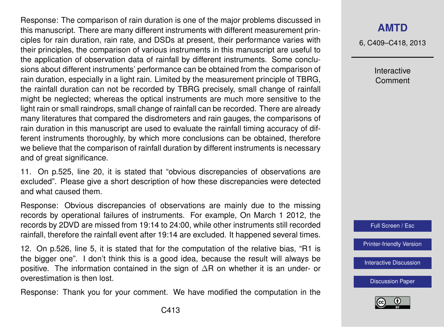Response: The comparison of rain duration is one of the major problems discussed in this manuscript. There are many different instruments with different measurement principles for rain duration, rain rate, and DSDs at present, their performance varies with their principles, the comparison of various instruments in this manuscript are useful to the application of observation data of rainfall by different instruments. Some conclusions about different instruments' performance can be obtained from the comparison of rain duration, especially in a light rain. Limited by the measurement principle of TBRG, the rainfall duration can not be recorded by TBRG precisely, small change of rainfall might be neglected; whereas the optical instruments are much more sensitive to the light rain or small raindrops, small change of rainfall can be recorded. There are already many literatures that compared the disdrometers and rain gauges, the comparisons of rain duration in this manuscript are used to evaluate the rainfall timing accuracy of different instruments thoroughly, by which more conclusions can be obtained, therefore we believe that the comparison of rainfall duration by different instruments is necessary and of great significance.

11. On p.525, line 20, it is stated that "obvious discrepancies of observations are excluded". Please give a short description of how these discrepancies were detected and what caused them.

Response: Obvious discrepancies of observations are mainly due to the missing records by operational failures of instruments. For example, On March 1 2012, the records by 2DVD are missed from 19:14 to 24:00, while other instruments still recorded rainfall, therefore the rainfall event after 19:14 are excluded. It happened several times.

12. On p.526, line 5, it is stated that for the computation of the relative bias, "R1 is the bigger one". I don't think this is a good idea, because the result will always be positive. The information contained in the sign of ∆R on whether it is an under- or overestimation is then lost.

Response: Thank you for your comment. We have modified the computation in the

## **[AMTD](http://www.atmos-meas-tech-discuss.net)**

6, C409–C418, 2013

Interactive Comment



[Printer-friendly Version](http://www.atmos-meas-tech-discuss.net/6/C409/2013/amtd-6-C409-2013-print.pdf)

[Interactive Discussion](http://www.atmos-meas-tech-discuss.net/6/519/2013/amtd-6-519-2013-discussion.html)

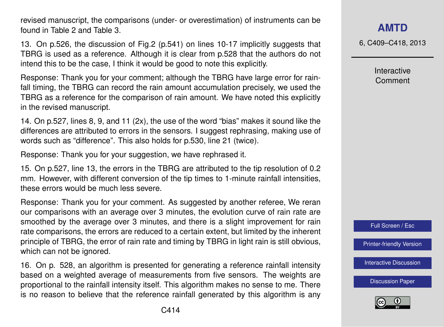revised manuscript, the comparisons (under- or overestimation) of instruments can be found in Table 2 and Table 3.

13. On p.526, the discussion of Fig.2 (p.541) on lines 10-17 implicitly suggests that TBRG is used as a reference. Although it is clear from p.528 that the authors do not intend this to be the case, I think it would be good to note this explicitly.

Response: Thank you for your comment; although the TBRG have large error for rainfall timing, the TBRG can record the rain amount accumulation precisely, we used the TBRG as a reference for the comparison of rain amount. We have noted this explicitly in the revised manuscript.

14. On p.527, lines 8, 9, and 11 (2x), the use of the word "bias" makes it sound like the differences are attributed to errors in the sensors. I suggest rephrasing, making use of words such as "difference". This also holds for p.530, line 21 (twice).

Response: Thank you for your suggestion, we have rephrased it.

15. On p.527, line 13, the errors in the TBRG are attributed to the tip resolution of 0.2 mm. However, with different conversion of the tip times to 1-minute rainfall intensities, these errors would be much less severe.

Response: Thank you for your comment. As suggested by another referee, We reran our comparisons with an average over 3 minutes, the evolution curve of rain rate are smoothed by the average over 3 minutes, and there is a slight improvement for rain rate comparisons, the errors are reduced to a certain extent, but limited by the inherent principle of TBRG, the error of rain rate and timing by TBRG in light rain is still obvious, which can not be ignored.

16. On p. 528, an algorithm is presented for generating a reference rainfall intensity based on a weighted average of measurements from five sensors. The weights are proportional to the rainfall intensity itself. This algorithm makes no sense to me. There is no reason to believe that the reference rainfall generated by this algorithm is any 6, C409–C418, 2013

Interactive Comment



[Printer-friendly Version](http://www.atmos-meas-tech-discuss.net/6/C409/2013/amtd-6-C409-2013-print.pdf)

[Interactive Discussion](http://www.atmos-meas-tech-discuss.net/6/519/2013/amtd-6-519-2013-discussion.html)

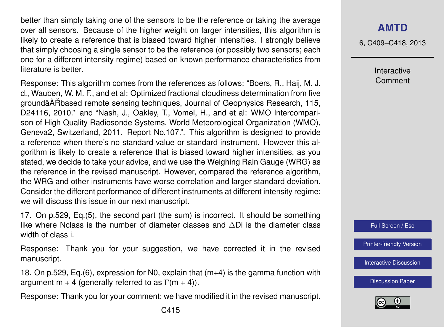better than simply taking one of the sensors to be the reference or taking the average over all sensors. Because of the higher weight on larger intensities, this algorithm is likely to create a reference that is biased toward higher intensities. I strongly believe that simply choosing a single sensor to be the reference (or possibly two sensors; each one for a different intensity regime) based on known performance characteristics from literature is better.

Response: This algorithm comes from the references as follows: "Boers, R., Haij, M. J. d., Wauben, W. M. F., and et al: Optimized fractional cloudiness determination from five groundâAT Roased remote sensing techniques, Journal of Geophysics Research, 115, D24116, 2010." and "Nash, J., Oakley, T., Vomel, H., and et al: WMO Intercomparison of High Quality Radiosonde Systems, World Meteorological Organization (WMO), Geneva2, Switzerland, 2011. Report No.107.". This algorithm is designed to provide a reference when there's no standard value or standard instrument. However this algorithm is likely to create a reference that is biased toward higher intensities, as you stated, we decide to take your advice, and we use the Weighing Rain Gauge (WRG) as the reference in the revised manuscript. However, compared the reference algorithm, the WRG and other instruments have worse correlation and larger standard deviation. Consider the different performance of different instruments at different intensity regime; we will discuss this issue in our next manuscript.

17. On p.529, Eq.(5), the second part (the sum) is incorrect. It should be something like where Nclass is the number of diameter classes and ∆Di is the diameter class width of class i.

Response: Thank you for your suggestion, we have corrected it in the revised manuscript.

18. On p.529, Eq.(6), expression for N0, explain that (m+4) is the gamma function with argument m + 4 (generally referred to as  $\Gamma(m + 4)$ ).

Response: Thank you for your comment; we have modified it in the revised manuscript.

6, C409–C418, 2013

Interactive Comment



[Printer-friendly Version](http://www.atmos-meas-tech-discuss.net/6/C409/2013/amtd-6-C409-2013-print.pdf)

[Interactive Discussion](http://www.atmos-meas-tech-discuss.net/6/519/2013/amtd-6-519-2013-discussion.html)

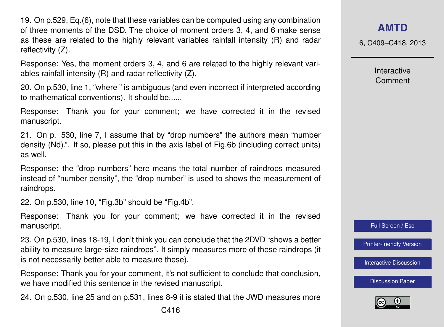19. On p.529, Eq.(6), note that these variables can be computed using any combination of three moments of the DSD. The choice of moment orders 3, 4, and 6 make sense as these are related to the highly relevant variables rainfall intensity (R) and radar reflectivity (Z).

Response: Yes, the moment orders 3, 4, and 6 are related to the highly relevant variables rainfall intensity (R) and radar reflectivity (Z).

20. On p.530, line 1, "where " is ambiguous (and even incorrect if interpreted according to mathematical conventions). It should be......

Response: Thank you for your comment; we have corrected it in the revised manuscript.

21. On p. 530, line 7, I assume that by "drop numbers" the authors mean "number density (Nd).". If so, please put this in the axis label of Fig.6b (including correct units) as well.

Response: the "drop numbers" here means the total number of raindrops measured instead of "number density", the "drop number" is used to shows the measurement of raindrops.

22. On p.530, line 10, "Fig.3b" should be "Fig.4b".

Response: Thank you for your comment; we have corrected it in the revised manuscript.

23. On p.530, lines 18-19, I don't think you can conclude that the 2DVD "shows a better ability to measure large-size raindrops". It simply measures more of these raindrops (it is not necessarily better able to measure these).

Response: Thank you for your comment, it's not sufficient to conclude that conclusion, we have modified this sentence in the revised manuscript.

24. On p.530, line 25 and on p.531, lines 8-9 it is stated that the JWD measures more

6, C409–C418, 2013

Interactive Comment



[Printer-friendly Version](http://www.atmos-meas-tech-discuss.net/6/C409/2013/amtd-6-C409-2013-print.pdf)

[Interactive Discussion](http://www.atmos-meas-tech-discuss.net/6/519/2013/amtd-6-519-2013-discussion.html)

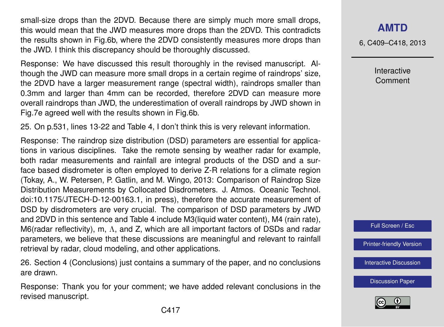small-size drops than the 2DVD. Because there are simply much more small drops, this would mean that the JWD measures more drops than the 2DVD. This contradicts the results shown in Fig.6b, where the 2DVD consistently measures more drops than the JWD. I think this discrepancy should be thoroughly discussed.

Response: We have discussed this result thoroughly in the revised manuscript. Although the JWD can measure more small drops in a certain regime of raindrops' size, the 2DVD have a larger measurement range (spectral width), raindrops smaller than 0.3mm and larger than 4mm can be recorded, therefore 2DVD can measure more overall raindrops than JWD, the underestimation of overall raindrops by JWD shown in Fig.7e agreed well with the results shown in Fig.6b.

25. On p.531, lines 13-22 and Table 4, I don't think this is very relevant information.

Response: The raindrop size distribution (DSD) parameters are essential for applications in various disciplines. Take the remote sensing by weather radar for example, both radar measurements and rainfall are integral products of the DSD and a surface based disdrometer is often employed to derive Z-R relations for a climate region (Tokay, A., W. Petersen, P. Gatlin, and M. Wingo, 2013: Comparison of Raindrop Size Distribution Measurements by Collocated Disdrometers. J. Atmos. Oceanic Technol. doi:10.1175/JTECH-D-12-00163.1, in press), therefore the accurate measurement of DSD by disdrometers are very crucial. The comparison of DSD parameters by JWD and 2DVD in this sentence and Table 4 include M3(liquid water content), M4 (rain rate), M6(radar reflectivity), m, Λ, and Z, which are all important factors of DSDs and radar parameters, we believe that these discussions are meaningful and relevant to rainfall retrieval by radar, cloud modeling, and other applications.

26. Section 4 (Conclusions) just contains a summary of the paper, and no conclusions are drawn.

Response: Thank you for your comment; we have added relevant conclusions in the revised manuscript.

6, C409–C418, 2013

Interactive Comment

Full Screen / Esc

[Printer-friendly Version](http://www.atmos-meas-tech-discuss.net/6/C409/2013/amtd-6-C409-2013-print.pdf)

[Interactive Discussion](http://www.atmos-meas-tech-discuss.net/6/519/2013/amtd-6-519-2013-discussion.html)